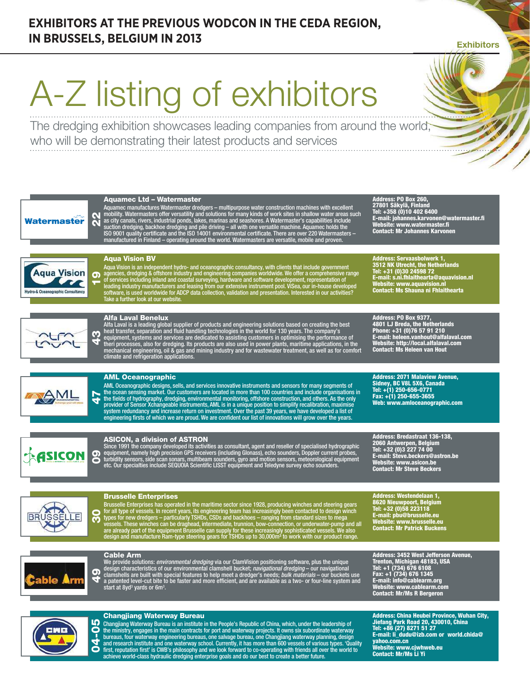## **EXHIBITORS AT THE PREVIOUS WODCON IN THE CEDA REGION, IN BRUSSELS, BELGIUM IN 2013**

**Exhibitors** 

# A-Z listing of exhibitors

The dredging exhibition showcases leading companies from around the world, who will be demonstrating their latest products and services





Division of ASTRON n.v. - member S.&S.S. group

22

Watermaster

**Agua Vision** 

eanographic Consultancy

 $250$  $\sum$ 

<u>AMI</u>

ရာ <sup>ag</sup><br>— <sup>of</sup>

43

47

09

## Brusselle Enterprises

30 Brusselle Enterprises has operated in the maritime sector since 1928, producing winches and steering gears<br>for all type of vessels. In recent years, its engineering team has increasingly been contacted to design winch<br>type Address: Westendelaan 1, 8620 Nieuwpoort, Belgium Tel: +32 (0)58 223118 E-mail: pbu@brusselle.eu Website: www.brusselle.eu Contact: Mr Patrick Buckens

ble Arm

49 **Cable Arm**<br>We provide solutions: *environmental dredging* via our ClamVision positioning software, plus the unique<br>design characteristics of our environmental clamshell bucket; *navigational dredging* – our navigational<br>c Address: 3452 West Jefferson Avenue,<br>Trenton, Michigan 48183, USA<br>Tel: +1 (734) 676 6108<br>Fax: +1 (734) 676 6108<br>E-mail: info@cablearm.org<br>Website: www.cablearm.com<br>Contact: Mr/Ms R Bergeron



## Changjiang Waterway Bureau

Changjiang Waterway Bureau is an institute in the People's Republic of China, which, under the leadership of<br>the ministry, engages in the main contracts for port and waterway projects. It owns six subordinate waterway<br>bure

Address: China Heubei Province, Wuhan City, Jiefang Park Road 20, 430010, China Tel: +86 (27) 8271 51 27 E-mail: li\_dudu@izb.com or world.chida@ yahoo.com.cn Website: www.cjwhweb.eu Contact: Mr/Ms Li Yi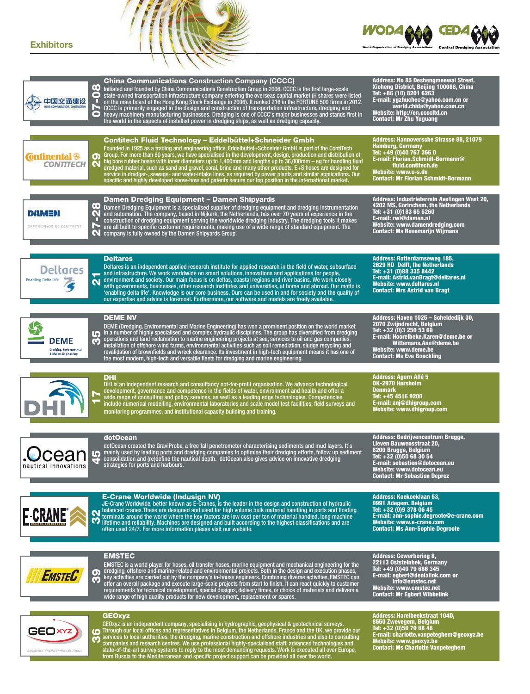## **Exhibitors**



| œ<br>0<br>中国交通建设<br>HINA COMMUNICATIONS CONSTRUCTION<br>N<br>O                   | <b>China Communications Construction Company (CCCC)</b><br>Initiated and founded by China Communications Construction Group in 2006. CCCC is the first large-scale<br>state-owned transportation infrastructure company entering the overseas capital market (H shares were listed<br>on the main board of the Hong Kong Stock Exchange in 2006). It ranked 216 in the FORTUNE 500 firms in 2012.<br>CCCC is primarily engaged in the design and construction of transportation infrastructure, dredging and<br>heavy machinery manufacturing businesses. Dredging is one of CCCC's major businesses and stands first in<br>the world in the aspects of installed power in dredging ships, as well as dredging capacity.                        | Address: No 85 Deshengmenwai Street,<br>Xicheng District, Beijing 100088, China<br>Tel: +86 (10) 8201 6263<br>E-mail: ygzhuchec@yahoo.com.cn or<br>world.chida@yahoo.com.cn<br>Website: http://en.ccccltd.cn<br><b>Contact: Mr Zhu Yuguang</b> |
|----------------------------------------------------------------------------------|-------------------------------------------------------------------------------------------------------------------------------------------------------------------------------------------------------------------------------------------------------------------------------------------------------------------------------------------------------------------------------------------------------------------------------------------------------------------------------------------------------------------------------------------------------------------------------------------------------------------------------------------------------------------------------------------------------------------------------------------------|------------------------------------------------------------------------------------------------------------------------------------------------------------------------------------------------------------------------------------------------|
| <b>Confinental &amp;</b><br>တ<br><b>CONTITECH</b><br>C                           | Contitech Fluid Technology - Eddelbüttel+Schneider Gmbh<br>Founded in 1925 as a trading and engineering office, Eddelbüttel+Schneider GmbH is part of the ContiTech<br>Group. For more than 80 years, we have specialised in the development, design, production and distribution of<br>big bore rubber hoses with inner diameters up to 1,400mm and lengths up to 36,000mm – eg for handling fluid<br>dredged material, such as sand and gravel, coral, brine and many other products. E+S hoses are designed for<br>service in dredger-, sewage- and water-intake lines, as required by power plants and similar applications. Our<br>specific and highly developed know-how and patents secure our top position in the international market. | Address: Hannoversche Strasse 88, 21079<br><b>Hamburg, Germany</b><br>Tel: +49 (0)40 767 366 0<br>E-mail: Florian.Schmidt-Bormann@<br>fluid.contitech.de<br>Website: www.e-s.de<br><b>Contact: Mr Florian Schmidt-Bormann</b>                  |
| $\bullet$<br>DAMEN<br>Q<br>DAMEN DREDGING EQUIPMENT<br>Ñ                         | Damen Dredging Equipment - Damen Shipyards<br>Damen Dredging Equipment is a specialised supplier of dredging equipment and dredging instrumentation<br>and automation. The company, based in Nijkerk, the Netherlands, has over 70 years of experience in the<br>construction of dredging equipment serving the worldwide dredging industry. The dredging tools it makes<br>are all built to specific customer requirements, making use of a wide range of standard equipment. The<br>$\blacksquare$ company is fully owned by the Damen Shipyards Group.                                                                                                                                                                                       | Address: Industrieterrein Avelingen West 20,<br>4202 MS, Gorinchem, the Netherlands<br>Tel: +31 (0)183 65 5260<br>E-mail: rwi@damen.nl<br>Website: www.damendredging.com<br><b>Contact: Ms Rosemarijn Wijmans</b>                              |
| Deltares<br>Enabling Delta Life<br>$\overline{\mathbf{N}}$                       | <b>Deltares</b><br>Deltares is an independent applied research institute for applied research in the field of water, subsurface<br>and infrastructure. We work worldwide on smart solutions, innovations and applications for people,<br>environment and society. Our main focus is on deltas, coastal regions and river basins. We work closely<br>with governments, businesses, other research institutes and universities, at home and abroad. Our motto is<br>'enabling delta life'. Knowledge is our core business. Ours can be used in and for society and the quality of<br>our expertise and advice is foremost. Furthermore, our software and models are freely availabie.                                                             | <b>Address: Rotterdamseweg 185,</b><br>2629 HD Delft, the Netherlands<br>Tel: +31 (0)88 335 8442<br>E-mail: Astrid.vanBragt@deltares.nl<br>Website: www.deltares.nl<br><b>Contact: Mrs Astrid van Bragt</b>                                    |
| Ю<br><b>DEME</b><br>G)<br><b>Dredging, Environmental</b><br>& Marine Engineering | <b>DEME NV</b><br>DEME (Dredging, Environmental and Marine Engineering) has won a prominent position on the world market<br>in a number of highly specialised and complex hydraulic disciplines. The group has diversified from dredging<br>operations and land reclamation to marine engineering projects at sea, services to oil and gas companies,<br>installation of offshore wind farms, environmental activities such as soil remediation, sludge recycling and<br>revalidation of brownfields and wreck clearance. Its investment in high-tech equipment means it has one of<br>the most modern, high-tech and versatile fleets for dredging and marine engineering.                                                                     | Address: Haven 1025 - Scheldediik 30.<br>2070 Zwijndrecht, Belgium<br>Tel: +32 (0)3 250 53 69<br>E-mail: Hoorelbeke.Karen@deme.be or<br>Wittemans.Ann@deme.be<br>Website: www.deme.be<br><b>Contact: Ms Eva Boeckling</b>                      |
|                                                                                  | <b>DHI</b><br>DHI is an independent research and consultancy not-for-profit organisation. We advance technological<br>development, governance and competence in the fields of water, environment and health and offer a<br>wide range of consulting and policy services, as well as a leading edge technologies. Competencies<br>include numerical modelling, environmental laboratories and scale model test facilities, field surveys and<br>monitoring programmes, and institutional capacity building and training.                                                                                                                                                                                                                         | <b>Address: Agern Allé 5</b><br>DK-2970 Hørsholm<br><b>Denmark</b><br>Tel: +45 4516 9200<br>E-mail: anj@dhigroup.com<br>Website: www.dhigroup.com                                                                                              |
| nautical innovations                                                             | dotOcean<br>dotOcean created the GraviProbe, a free fall penetrometer characterising sediments and mud layers. It's<br><b>CCCCI COLORY</b> mainly used by leading ports and dredging companies to optimise their dredging efforts, follow up sediment<br>CCCI <b>COLORY</b> consolidation and (re)define the nautical depth. dotOcean also gives advice on innov<br>strategies for ports and narbours.                                                                                                                                                                                                                                                                                                                                          | Address: Bedrijvencentrum Brugge,<br>Lieven Bauwensstraat 20,<br>8200 Brugge, Belgium<br>Tel: +32 (0)50 68 30 54<br>E-mail: sebastien@dotocean.eu<br>Website: www.dotocean.eu<br><b>Contact: Mr Sebastien Deprez</b>                           |
| <b>E-CRANE</b><br>$\overline{\mathbf{c}}$                                        | <b>E-Crane Worldwide (Indusign NV)</b><br>JE-Crane Worldwide, better known as E-Cranes, is the leader in the design and construction of hydraulic<br>balanced cranes. These are designed and used for high volume bulk material handling in ports and floating<br>terminals around the world where the key factors are low cost per ton of material handled, long machine<br>(Children and reliability. Machines are designed and built according to the highest classifications and are<br>often used 24/7. For more information please visit our website.                                                                                                                                                                                     | <b>Address: Koekoeklaan 53,</b><br>9991 Adegem, Belgium<br>Tel: +32 (0)9 378 06 45<br>E-mail: ann-sophie.degroote@e-crane.com<br>Website: www.e-crane.com<br><b>Contact: Ms Ann-Sophie Degroote</b>                                            |
| $\boldsymbol{\Theta}$<br><b>EMSTEC</b><br>m                                      | <b>EMSTEC</b><br>EMSTEC is a world player for hoses, oil transfer hoses, marine equipment and mechanical engineering for the<br>dredging, offshore and marine-related and environmental projects. Both in the design and execution phases,<br>key activities are carried out by the company's in-house engineers. Combining diverse activities, EMSTEC can<br>offer an overall package and execute large-scale projects from start to finish. It can react quickly to customer<br>requirements for technical development, special designs, delivery times, or choice of materials and delivers a<br>wide range of high quality products for new development, replacement or spares.                                                             | <b>Address: Gewerbering 8,</b><br>22113 Oststeinbek, Germany<br>Tel: +49 (0)40 79 686 345<br>E-mail: egbert@denialink.com or<br>info@emstec.net<br>Website: www.emstec.net<br><b>Contact: Mr Egbert Wibbelink</b>                              |
| GEOXYZ<br>10                                                                     | <b>GEOxyz</b><br>GEOxyz is an independent company, specialising in hydrographic, geophysical & geotechnical surveys.<br>Through our local offices and representatives in Belgium, the Netherlands, France and the UK, we provide our<br>services to local authorities, the dredging, marine construction and offshore industries and also to consulting                                                                                                                                                                                                                                                                                                                                                                                         | Address: Harelbeekstraat 104D,<br>8550 Zwevegem, Belgium<br>Tel: +32 (0)56 70 68 48<br>E-mail: charlotte.vanpeteghem@geoxyz.be<br>Website: www.geoxyz.be                                                                                       |



GEOxyz is an independent company, specialising in hydrographic, geophysical & geotechnical surveys.<br>Through our local offices and representatives in Belgium, the Netherlands, France and the UK, we provide our<br>services to l

8550 Zwevegem, Belgium<br>Tel: +32 (0)56 70 68 48<br>E-mail: charlotte.vanpeteghem@geoxyz.be<br>Website: www.geoxyz.be<br>Contact: Ms Charlotte Vanpeteghem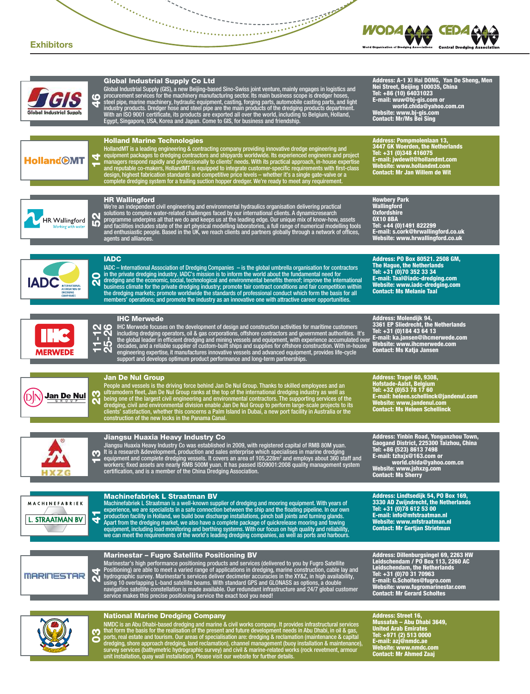

YSS



| 6<br>Global Industrial Suppl                                                               | <b>Global Industrial Supply Co Ltd</b><br>Global Industrial Supply (GIS), a new Beijing-based Sino-Swiss joint venture, mainly engages in logistics and<br>procurement services for the machinery manufacturing sector. Its main business scope is dredger hoses,<br>steel pipe, marine machinery, hydraulic equipment, casting, forging parts, automobile casting parts, and light<br>industry products. Dredger hose and steel pipe are the main products of the dredging products department.<br>With an ISO 9001 certificate, its products are exported all over the world, including to Belgium, Holland,<br>Egypt, Singapore, USA, Korea and Japan. Come to GIS, for business and friendship.            | Address: A-1 Xi Hai DONG, Yan De Sheng, Men<br>Nei Street, Beijing 100035, China<br>Tel: +86 (10) 64031023<br>E-mail: wuw@bj-gis.com or<br>world.chida@yahoo.com.cn<br>Website: www.bj-gis.com<br><b>Contact: Mr/Ms Bei Sing</b>                         |
|--------------------------------------------------------------------------------------------|----------------------------------------------------------------------------------------------------------------------------------------------------------------------------------------------------------------------------------------------------------------------------------------------------------------------------------------------------------------------------------------------------------------------------------------------------------------------------------------------------------------------------------------------------------------------------------------------------------------------------------------------------------------------------------------------------------------|----------------------------------------------------------------------------------------------------------------------------------------------------------------------------------------------------------------------------------------------------------|
| 4<br><b>HollandOMT</b>                                                                     | <b>Holland Marine Technologies</b><br>HollandMT is a leading engineering & contracting company providing innovative dredge engineering and<br>equipment packages to dredging contractors and shipyards worldwide. Its experienced engineers and project<br>managers respond rapidly and professionally to clients' needs. With its practical approach, in-house expertise<br>and reputable co-makers, HollandMT is equipped to integrate customer-specific requirements with first-class<br>design, highest fabrication standards and competitive price levels – whether it's a single gate-valve or a<br>complete dredging system for a trailing suction hopper dredger. We're ready to meet any requirement. | <b>Address: Pompmoleniaan 13,</b><br><b>3447 GK Woerden, the Netherlands</b><br>Tel: +31 (0)348 416075<br>E-mail: jwdewit@hollandmt.com<br>Website: www.hollandmt.com<br><b>Contact: Mr Jan Willem de Wit</b>                                            |
| HR Wallingford<br><b>10</b><br>Working with water                                          | <b>HR Wallingford</b><br>We're an independent civil engineering and environmental hydraulics organisation delivering practical<br>solutions to complex water-related challenges faced by our international clients. A dynamicresearch<br>programme underpins all that we do and keeps us at the leading edge. Our unique mix of know-how, assets<br>and facilities includes state of the art physical modelling laboratories, a full range of numerical modelling tools<br>and enthusiastic people. Based in the UK, we reach clients and partners globally through a network of offices,<br>agents and alliances.                                                                                             | <b>Howbery Park</b><br><b>Wallingford</b><br><b>Oxfordshire</b><br><b>OX10 8BA</b><br>Tel: +44 (0)1491 822299<br>E-mail: s.cork@hrwallingford.co.uk<br>Website: www.hrwallingford.co.uk                                                                  |
| 0<br><b>IADC</b><br><b>INTERNATIONAL</b><br>ASSOCIATION OF<br>DREDGING<br><b>COMPANIES</b> | <b>IADC</b><br>IADC $-$ International Association of Dredging Companies $-$ is the global umbrella organisation for contractors<br>in the private dredging industry. IADC's mission is to inform the world about the fundamental need for<br>dredging and the economic, social, technological and environmental benefits thereof; improve the international<br>business climate for the private dredging industry; promote fair contract conditions and fair competition within<br>the dredging markets; promote worldwide the standards of professional conduct which form the basis for all<br>members' operations; and promote the industry as an innovative one with attractive career opportunities.      | Address: PO Box 80521. 2508 GM,<br>The Hague, the Netherlands<br>Tel: +31 (0)70 352 33 34<br>E-mail: Taal@iadc-dredging.com<br>Website: www.iadc-dredging.com<br><b>Contact: Ms Melanie Taal</b>                                                         |
| <b>MERWEDE</b>                                                                             | <b>IHC Merwede</b><br>O IHC Merwede focuses on the development of design and construction activities for maritime customers<br>T N'<br>including dredging operators, oil & gas corporations, offshore contractors and government authorities. It's<br>the global leader in efficient dredging and mining vessels and equipment, with experience accumulated over<br><b>- 29</b><br>19<br>decades, and a reliable supplier of custom-built ships and supplies for offshore construction. With in-house<br>engineering expertise, it manufactures innovative vessels and advanced equipment, provides life-cycle<br>support and develops optimum product performance and long-term partnerships.                 | Address: Molendijk 94,<br>3361 EP Sliedrecht, the Netherlands<br>Tel: +31 (0)184 43 64 13<br>E-mail: ka.jansen@ihcmerwede.com<br>Website: www.ihcmerwede.com<br><b>Contact: Ms Katja Jansen</b>                                                          |
| Ŧ<br>Jan De Nul                                                                            | <b>Jan De Nul Group</b><br>People and vessels is the driving force behind Jan De Nul Group. Thanks to skilled employees and an<br>ultramodern fleet, Jan De Nul Group ranks at the top of the international dredging industry as well as<br>being one of the largest civil engineering and environmental contractors. The supporting services of the<br>dredging, civil and environmental division enable Jan De Nul Group to perform large-scale projects to its<br>clients' satisfaction, whether this concerns a Palm Island in Dubai, a new port facility in Australia or the<br>construction of the new locks in the Panama Canal.                                                                        | Address: Tragel 60, 9308,<br><b>Hofstade-Aalst, Belgium</b><br>Tel: +32 (0)53 78 17 60<br>E-mail: heleen.schellinck@jandenul.com<br>Website: www.jandenul.com<br><b>Contact: Ms Heleen Schellinck</b>                                                    |
|                                                                                            | Jiangsu Huaxia Heavy Industry Co<br>Jiangsu Huaxia Heavy Industry Co was established in 2009, with registered capital of RMB 80M yuan.<br>t is a research &development, production and sales enterprise which specialises in marine dredging<br>equipment and complete dredging vessels. It covers an area of 105,228m <sup>2</sup> and employs about 360 staff and<br>workers; fixed assets are nearly RMB 500M yuan. It has passed IS09001:2008 quality management system<br>certification, and is a member of the China Dredging Association.                                                                                                                                                               | Address: Yinbin Road, Yonganzhou Town,<br>Gaogand District, 225300 Taizhou, China<br>Tel: +86 (523) 8613 7498<br>E-mail: tzhxjx@163.com or<br>world.chida@yahoo.com.cn<br>Website: www.jshxzg.com<br><b>Contact: Ms Sherry</b>                           |
| MACHINEFABRIEK<br><b>L. STRAATMAN BV</b><br>₹                                              | <b>Machinefabriek L Straatman BV</b><br>Machinefabriek L Straatman is a well-known supplier of dredging and mooring equipment. With years of<br>experience, we are specialists in a safe connection between the ship and the floating pipeline. In our own<br>production facility in Holland, we build bow discharge installations, pinch ball joints and turning glands.<br>Apart from the dredging market, we also have a complete package of guickrelease mooring and towing<br>equipment, including load monitoring and berthing systems. With our focus on high quality and reliability,<br>we can meet the requirements of the world's leading dredging companies, as well as ports and harbours.        | Address: Lindtsediik 54. PO Box 169.<br>3330 AD Zwijndrecht, the Netherlands<br>Tel: +31 (0) 78 612 53 00<br>E-mail: info@mfstraatman.nl<br>Website: www.mfstraatman.nl<br><b>Contact: Mr Gertjan Strietman</b>                                          |
| <b>MARINESTAR</b>                                                                          | <b>Marinestar - Fugro Satellite Positioning BV</b><br>Marinestar's high performance positioning products and services (delivered to you by Fugro Satellite<br>Positioning) are able to meet a varied range of applications in dredging, marine construction, cable lay and<br>hydrographic survey. Marinestar's services deliver decimeter accuracies in the XY&Z, in high availability,<br>using 10 overlapping L-band satellite beams. With standard GPS and GLONASS as options, a double<br>navigation satellite constellation is made available. Our redundant infrastructure and 24/7 global customer<br>service makes this precise positioning service the exact tool you need!                          | Address: Dillenburgsingel 69, 2263 HW<br>Leidschendam / PO Box 113, 2260 AC<br><b>Leidschendam, the Netherlands</b><br>Tel: +31 (0)70 31 70963<br>E-mail: G.Scholtes@fugro.com<br>Website: www.fugromarinestar.com<br><b>Contact: Mr Gerard Scholtes</b> |
| ო<br>$\bullet$                                                                             | <b>National Marine Dredging Company</b><br>NMDC is an Abu Dhabi-based dredging and marine & civil works company. It provides infrastructural services<br>that form the basis for the realisation of the present and future development needs in Abu Dhabi, in oil & gas,<br>ports, real estate and tourism. Our areas of specialisation are: dredging & reclamation (maintenance & capital                                                                                                                                                                                                                                                                                                                     | <b>Address: Street 16,</b><br>Mussafah - Abu Dhabi 3649,<br><b>United Arab Emirates</b><br>Tel: +971 (2) 513 0000<br>F-mail: azi@nmdc.ae                                                                                                                 |

ports, real estate and tourism. Our areas of specialisation are: dredging & reclamation (maintenance & capital<br>dredging, shore approach dredging, land reclamation), channel management (buoy installation & maintenance),<br>sur

E-mail: azj@nmdc.ae Website: www.nmdc.com Contact: Mr Ahmed Zaaj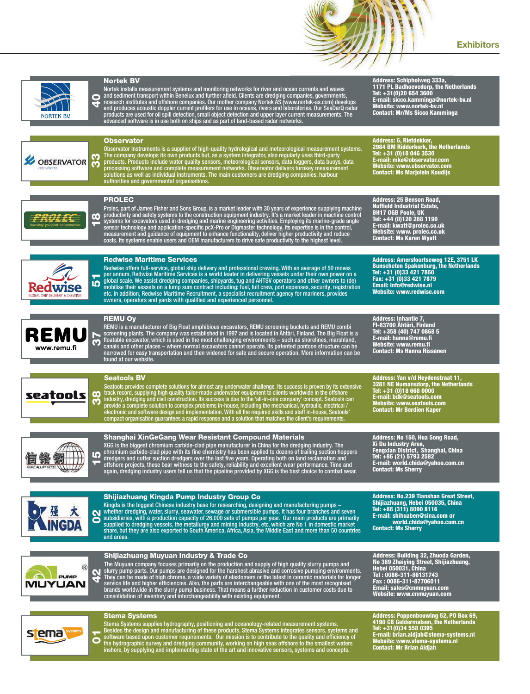



stema

Stema Systems supplies hydrography, positioning and oceanology-related measurement systems.<br>Besides the design and manufacturing of these products, Stema Systems integrates sensors, systems and<br>software based upon customer

Address: Poppenbouwing 52, PO Box 69,<br>Tel: +31(0)34 558 0395<br>Tel: +31(0)34 558 0395<br>E-mail: brian.aldjah@stema-systems.nl<br>Website: www.stema-systems.nl<br>Contact: Mr Brian Aldjah